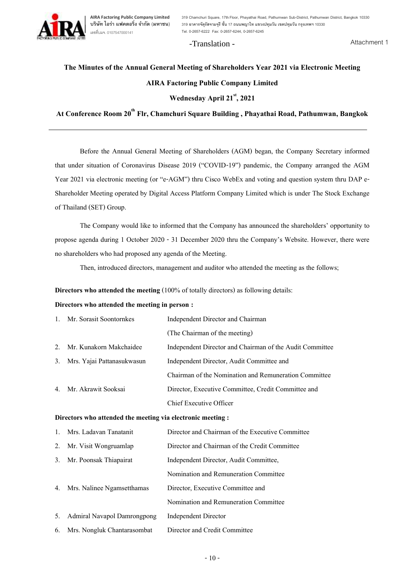

**AIRA Factoring Public Company Limited** เลขที่บมจ. 0107547000141

**บริษัท ไอร่า แฟคตอริ่ง จำกัด (มหาชน**) 319 อาคารจัตุรัสจามจุรี ชั้น 17 ถนนพญาไท แขวงปทุมวัน เขตปทุมวัน กรุงเทพฯ 10330 **319 Chamchuri Square, 17th Floor, Phayathai Road, Pathumwan Sub-District, Pathumwan District, Bangkok 10330 Tel. 0-2657-6222 Fax: 0-2657-6244, 0-2657-6245**

# -Translation -

Attachment 1

# **The Minutes of the Annual General Meeting of Shareholders Year 2021 via Electronic Meeting AIRA Factoring Public Company Limited**

# **Wednesday April 21st, 2021**

**At Conference Room 20th Flr, Chamchuri Square Building , Phayathai Road, Pathumwan, Bangkok**

Before the Annual General Meeting of Shareholders (AGM) began, the Company Secretary informed that under situation of Coronavirus Disease 2019 ("COVID-19") pandemic, the Company arranged the AGM Year 2021 via electronic meeting (or "e-AGM") thru Cisco WebEx and voting and question system thru DAP e-Shareholder Meeting operated by Digital Access Platform Company Limited which is under The Stock Exchange of Thailand (SET) Group.

The Company would like to informed that the Company has announced the shareholders' opportunity to propose agenda during 1 October 2020 - 31 December 2020 thru the Company's Website. However, there were no shareholders who had proposed any agenda of the Meeting.

Then, introduced directors, management and auditor who attended the meeting as the follows;

**Directors who attended the meeting** (100% of totally directors) as following details:

### **Directors who attended the meeting in person :**

|                | 1. Mr. Sorasit Soontornkes                                  | Independent Director and Chairman                        |  |
|----------------|-------------------------------------------------------------|----------------------------------------------------------|--|
|                |                                                             | (The Chairman of the meeting)                            |  |
| 2.             | Mr. Kunakorn Makchaidee                                     | Independent Director and Chairman of the Audit Committee |  |
| 3.             | Mrs. Yajai Pattanasukwasun                                  | Independent Director, Audit Committee and                |  |
|                |                                                             | Chairman of the Nomination and Remuneration Committee    |  |
| 4.             | Mr. Akrawit Sooksai                                         | Director, Executive Committee, Credit Committee and      |  |
|                |                                                             | Chief Executive Officer                                  |  |
|                | Directors who attended the meeting via electronic meeting : |                                                          |  |
| $\mathbf{1}$ . | Mrs. Ladavan Tanatanit                                      | Director and Chairman of the Executive Committee         |  |
| 2.             | Mr. Visit Wongruamlap                                       | Director and Chairman of the Credit Committee            |  |
| 3.             | Mr. Poonsak Thiapairat                                      | Independent Director, Audit Committee,                   |  |
|                |                                                             | Nomination and Remuneration Committee                    |  |

4. Mrs. Nalinee Ngamsetthamas Director, Executive Committee and

Nomination and Remuneration Committee

- 5. Admiral Navapol Damrongpong Independent Director
- 6. Mrs. Nongluk Chantarasombat Director and Credit Committee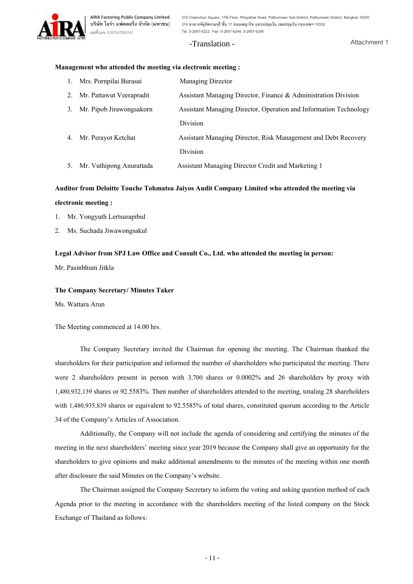

## -Translation -

#### **Management who attended the meeting via electronic meeting :**

|    | 1. Mrs. Pornpilai Burasai   | <b>Managing Director</b>                                          |
|----|-----------------------------|-------------------------------------------------------------------|
| 2. | Mr. Pattawut Veerapradit    | Assistant Managing Director, Finance & Administration Division    |
| 3. | Mr. Pipob Jirawongsakorn    | Assistant Managing Director, Operation and Information Technology |
|    |                             | Division                                                          |
|    | 4. Mr. Perayot Ketchat      | Assistant Managing Director, Risk Management and Debt Recovery    |
|    |                             | Division                                                          |
|    | 5. Mr. Vuthipong Anurattada | Assistant Managing Director Credit and Marketing 1                |

### **Auditor from Deloitte Touche Tohmatsu Jaiyos Audit Company Limited who attended the meeting via**

#### **electronic meeting :**

- 1. Mr. Yongyuth Lertsurapibul
- 2. Ms. Suchada Jiwawongsakul

#### **Legal Advisor from SPJ Law Office and Consult Co., Ltd. who attended the meeting in person:**

Mr. Pasinbhum Jitkla

#### **The Company Secretary/ Minutes Taker**

Ms. Wattara Arun

The Meeting commenced at 14.00 hrs.

The Company Secretary invited the Chairman for opening the meeting. The Chairman thanked the shareholders for their participation and informed the number of shareholders who participated the meeting. There were 2 shareholders present in person with 3,700 shares or 0.0002% and 26 shareholders by proxy with 1,480,932,139 shares or 92.5583%. Then number of shareholders attended to the meeting, totaling 28 shareholders with 1,480,935,839 shares or equivalent to 92.5585% of total shares, constituted quorum according to the Article 34 of the Company's Articles of Association.

Additionally, the Company will not include the agenda of considering and certifying the minutes of the meeting in the next shareholders' meeting since year 2019 because the Company shall give an opportunity for the shareholders to give opinions and make additional amendments to the minutes of the meeting within one month after disclosure the said Minutes on the Company's website.

The Chairman assigned the Company Secretary to inform the voting and asking question method of each Agenda prior to the meeting in accordance with the shareholders meeting of the listed company on the Stock Exchange of Thailand as follows: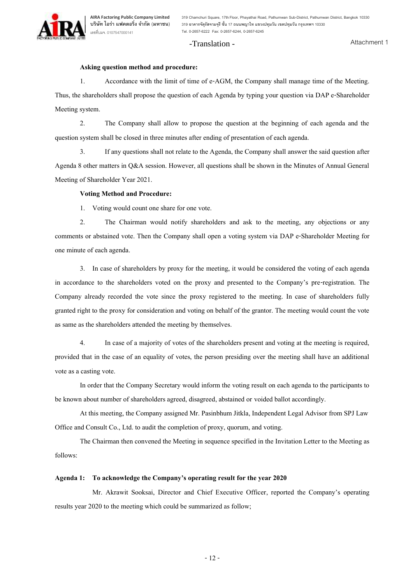# -Translation -

Attachment 1

#### **Asking question method and procedure:**

1. Accordance with the limit of time of e-AGM, the Company shall manage time of the Meeting. Thus, the shareholders shall propose the question of each Agenda by typing your question via DAP e-Shareholder Meeting system.

2. The Company shall allow to propose the question at the beginning of each agenda and the question system shall be closed in three minutes after ending of presentation of each agenda.

3. If any questions shall not relate to the Agenda, the Company shall answer the said question after Agenda 8 other matters in Q&A session. However, all questions shall be shown in the Minutes of Annual General Meeting of Shareholder Year 2021.

#### **Voting Method and Procedure:**

1. Voting would count one share for one vote.

2. The Chairman would notify shareholders and ask to the meeting, any objections or any comments or abstained vote. Then the Company shall open a voting system via DAP e-Shareholder Meeting for one minute of each agenda.

3. In case of shareholders by proxy for the meeting, it would be considered the voting of each agenda in accordance to the shareholders voted on the proxy and presented to the Company's pre-registration. The Company already recorded the vote since the proxy registered to the meeting. In case of shareholders fully granted right to the proxy for consideration and voting on behalf of the grantor. The meeting would count the vote as same as the shareholders attended the meeting by themselves.

4. In case of a majority of votes of the shareholders present and voting at the meeting is required, provided that in the case of an equality of votes, the person presiding over the meeting shall have an additional vote as a casting vote.

In order that the Company Secretary would inform the voting result on each agenda to the participants to be known about number of shareholders agreed, disagreed, abstained or voided ballot accordingly.

At this meeting, the Company assigned Mr. Pasinbhum Jitkla, Independent Legal Advisor from SPJ Law Office and Consult Co., Ltd. to audit the completion of proxy, quorum, and voting.

The Chairman then convened the Meeting in sequence specified in the Invitation Letter to the Meeting as follows:

### **Agenda 1: To acknowledge the Company's operating result for the year 2020**

Mr. Akrawit Sooksai, Director and Chief Executive Officer, reported the Company's operating results year 2020 to the meeting which could be summarized as follow;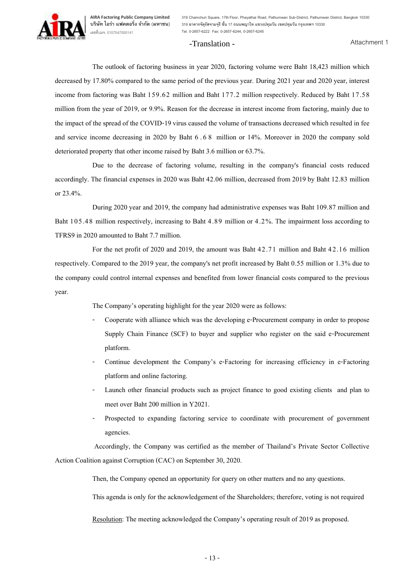### -Translation -

The outlook of factoring business in year 2020, factoring volume were Baht 18,423 million which decreased by 17.80% compared to the same period of the previous year. During 2021 year and 2020 year, interest income from factoring was Baht 159.62 million and Baht 177.2 million respectively. Reduced by Baht 17.58 million from the year of 2019, or 9.9%. Reason for the decrease in interest income from factoring, mainly due to the impact of the spread of the COVID-19 virus caused the volume of transactions decreased which resulted in fee and service income decreasing in 2020 by Baht 6 . 6 8 million or 14%. Moreover in 2020 the company sold deteriorated property that other income raised by Baht 3.6 million or 63.7%.

Due to the decrease of factoring volume, resulting in the company's financial costs reduced accordingly. The financial expenses in 2020 was Baht 42.06 million, decreased from 2019 by Baht 12.83 million or 23.4%.

During 2020 year and 2019, the company had administrative expenses was Baht 109.87 million and Baht 105.48 million respectively, increasing to Baht 4.89 million or 4.2%. The impairment loss according to TFRS9 in 2020 amounted to Baht 7.7 million.

For the net profit of 2020 and 2019, the amount was Baht 42.71 million and Baht 42.16 million respectively. Compared to the 2019 year, the company's net profit increased by Baht 0.55 million or 1.3% due to the company could control internal expenses and benefited from lower financial costs compared to the previous year.

The Company's operating highlight for the year 2020 were as follows:

- Cooperate with alliance which was the developing e-Procurement company in order to propose Supply Chain Finance (SCF) to buyer and supplier who register on the said e-Procurement platform.
- Continue development the Company's e-Factoring for increasing efficiency in e-Factoring platform and online factoring.
- Launch other financial products such as project finance to good existing clients and plan to meet over Baht 200 million in Y2021.
- Prospected to expanding factoring service to coordinate with procurement of government agencies.

Accordingly, the Company was certified as the member of Thailand's Private Sector Collective Action Coalition against Corruption (CAC) on September 30, 2020.

Then, the Company opened an opportunity for query on other matters and no any questions.

This agenda is only for the acknowledgement of the Shareholders; therefore, voting is not required

Resolution: The meeting acknowledged the Company's operating result of 2019 as proposed.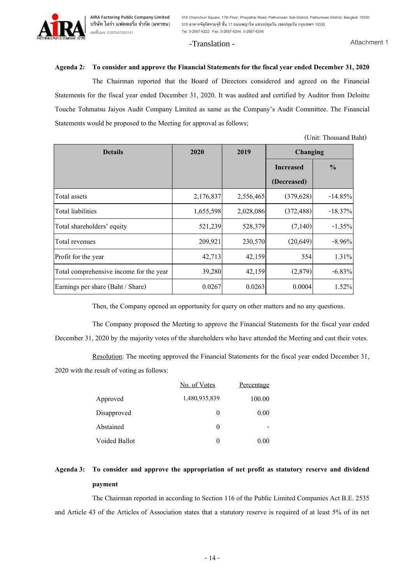**319 Chamchuri Square, 17th Floor, Phayathai Road, Pathumwan Sub-District, Pathumwan District, Bangkok 10330 319 อาคารจัตุรัสจามจุรีชั้น 17 ถนนพญาไท แขวงปทุมวัน เขตปทุมวัน กรุงเทพฯ 10330 Tel. 0-2657-6222 Fax: 0-2657-6244, 0-2657-6245**

#### -Translation -

Attachment 1

#### **Agenda 2: To consider and approve the Financial Statements for the fiscal year ended December 31, 2020**

The Chairman reported that the Board of Directors considered and agreed on the Financial Statements for the fiscal year ended December 31, 2020. It was audited and certified by Auditor from Deloitte Touche Tohmatsu Jaiyos Audit Company Limited as same as the Company's Audit Committee. The Financial Statements would be proposed to the Meeting for approval as follows;

| <b>Details</b>                          | 2020      | 2019      | Changing         |               |
|-----------------------------------------|-----------|-----------|------------------|---------------|
|                                         |           |           | <b>Increased</b> | $\frac{0}{0}$ |
|                                         |           |           | (Decreased)      |               |
| Total assets                            | 2,176,837 | 2,556,465 | (379, 628)       | $-14.85%$     |
| <b>Total liabilities</b>                | 1,655,598 | 2,028,086 | (372, 488)       | $-18.37\%$    |
| Total shareholders' equity              | 521,239   | 528,379   | (7,140)          | $-1.35%$      |
| Total revenues                          | 209,921   | 230,570   | (20, 649)        | $-8.96\%$     |
| Profit for the year                     | 42,713    | 42,159    | 554              | 1.31%         |
| Total comprehensive income for the year | 39,280    | 42,159    | (2,879)          | $-6.83%$      |
| Earnings per share (Baht / Share)       | 0.0267    | 0.0263    | 0.0004           | 1.52%         |

(Unit: Thousand Baht)

Then, the Company opened an opportunity for query on other matters and no any questions.

The Company proposed the Meeting to approve the Financial Statements for the fiscal year ended December 31, 2020 by the majority votes of the shareholders who have attended the Meeting and cast their votes.

Resolution: The meeting approved the Financial Statements for the fiscal year ended December 31, 2020 with the result of voting as follows:

|               | No. of Votes  | Percentage |
|---------------|---------------|------------|
| Approved      | 1,480,935,839 | 100.00     |
| Disapproved   | 0             | 0.00       |
| Abstained     | 0             |            |
| Voided Ballot | $\theta$      | 0.00       |

# **Agenda 3: To consider and approve the appropriation of net profit as statutory reserve and dividend payment**

The Chairman reported in according to Section 116 of the Public Limited Companies Act B.E. 2535 and Article 43 of the Articles of Association states that a statutory reserve is required of at least 5% of its net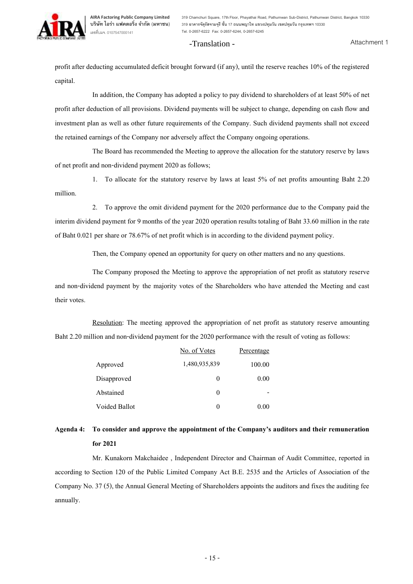# -Translation -

profit after deducting accumulated deficit brought forward (if any), until the reserve reaches 10% of the registered capital.

In addition, the Company has adopted a policy to pay dividend to shareholders of at least 50% of net profit after deduction of all provisions. Dividend payments will be subject to change, depending on cash flow and investment plan as well as other future requirements of the Company. Such dividend payments shall not exceed the retained earnings of the Company nor adversely affect the Company ongoing operations.

The Board has recommended the Meeting to approve the allocation for the statutory reserve by laws of net profit and non-dividend payment 2020 as follows;

1. To allocate for the statutory reserve by laws at least 5% of net profits amounting Baht 2.20 million.

2. To approve the omit dividend payment for the 2020 performance due to the Company paid the interim dividend payment for 9 months of the year 2020 operation results totaling of Baht 33.60 million in the rate of Baht 0.021 per share or 78.67% of net profit which is in according to the dividend payment policy.

Then, the Company opened an opportunity for query on other matters and no any questions.

The Company proposed the Meeting to approve the appropriation of net profit as statutory reserve and non-dividend payment by the majority votes of the Shareholders who have attended the Meeting and cast their votes.

Resolution: The meeting approved the appropriation of net profit as statutory reserve amounting Baht 2.20 million and non-dividend payment for the 2020 performance with the result of voting as follows:

|               | No. of Votes  | Percentage |
|---------------|---------------|------------|
| Approved      | 1,480,935,839 | 100.00     |
| Disapproved   | 0             | 0.00       |
| Abstained     | 0             |            |
| Voided Ballot | $\theta$      | 0.00       |

# **Agenda 4: To consider and approve the appointment of the Company's auditors and their remuneration for 2021**

Mr. Kunakorn Makchaidee , Independent Director and Chairman of Audit Committee, reported in according to Section 120 of the Public Limited Company Act B.E. 2535 and the Articles of Association of the Company No. 37 (5), the Annual General Meeting of Shareholders appoints the auditors and fixes the auditing fee annually.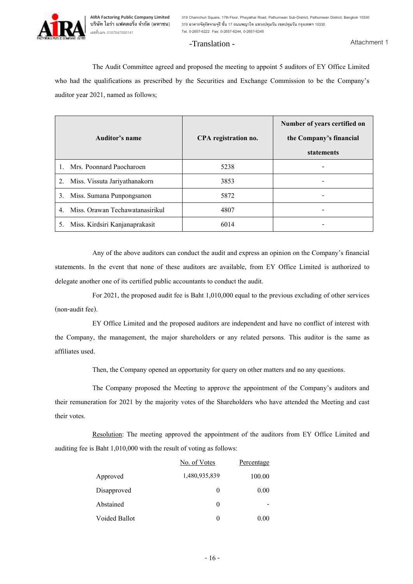

**319 Chamchuri Square, 17th Floor, Phayathai Road, Pathumwan Sub-District, Pathumwan District, Bangkok 10330 319 อาคารจัตุรัสจามจุรีชั้น 17 ถนนพญาไท แขวงปทุมวัน เขตปทุมวัน กรุงเทพฯ 10330 Tel. 0-2657-6222 Fax: 0-2657-6244, 0-2657-6245**

## -Translation -

Attachment 1

The Audit Committee agreed and proposed the meeting to appoint 5 auditors of EY Office Limited who had the qualifications as prescribed by the Securities and Exchange Commission to be the Company's auditor year 2021, named as follows;

| Auditor's name                        | CPA registration no. | Number of years certified on<br>the Company's financial<br>statements |
|---------------------------------------|----------------------|-----------------------------------------------------------------------|
| Mrs. Poonnard Paocharoen              | 5238                 |                                                                       |
| 2.<br>Miss. Vissuta Jariyathanakorn   | 3853                 |                                                                       |
| Miss. Sumana Punpongsanon<br>3.       | 5872                 |                                                                       |
| Miss. Orawan Techawatanasirikul<br>4. | 4807                 |                                                                       |
| Miss. Kirdsiri Kanjanaprakasit<br>5.  | 6014                 |                                                                       |

Any of the above auditors can conduct the audit and express an opinion on the Company's financial statements. In the event that none of these auditors are available, from EY Office Limited is authorized to delegate another one of its certified public accountants to conduct the audit.

For 2021, the proposed audit fee is Baht 1,010,000 equal to the previous excluding of other services (non-audit fee).

EY Office Limited and the proposed auditors are independent and have no conflict of interest with the Company, the management, the major shareholders or any related persons. This auditor is the same as affiliates used.

Then, the Company opened an opportunity for query on other matters and no any questions.

The Company proposed the Meeting to approve the appointment of the Company's auditors and their remuneration for 2021 by the majority votes of the Shareholders who have attended the Meeting and cast their votes.

Resolution: The meeting approved the appointment of the auditors from EY Office Limited and auditing fee is Baht 1,010,000 with the result of voting as follows:

|               | No. of Votes  | Percentage |
|---------------|---------------|------------|
| Approved      | 1,480,935,839 | 100.00     |
| Disapproved   | $\theta$      | 0.00       |
| Abstained     | 0             |            |
| Voided Ballot | 0             | 0.00       |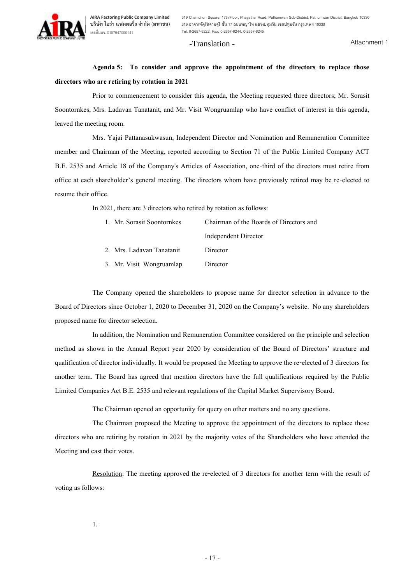## -Translation -

Attachment 1

**Agenda 5: To consider and approve the appointment of the directors to replace those directors who are retiring by rotation in 2021**

Prior to commencement to consider this agenda, the Meeting requested three directors; Mr. Sorasit Soontornkes, Mrs. Ladavan Tanatanit, and Mr. Visit Wongruamlap who have conflict of interest in this agenda, leaved the meeting room.

Mrs. Yajai Pattanasukwasun, Independent Director and Nomination and Remuneration Committee member and Chairman of the Meeting, reported according to Section 71 of the Public Limited Company ACT B.E. 2535 and Article 18 of the Company's Articles of Association, one-third of the directors must retire from office at each shareholder's general meeting. The directors whom have previously retired may be re-elected to resume their office.

In 2021, there are 3 directors who retired by rotation as follows:

| 1. Mr. Sorasit Soontornkes | Chairman of the Boards of Directors and |
|----------------------------|-----------------------------------------|
|                            | <b>Independent Director</b>             |
| 2. Mrs. Ladavan Tanatanit  | Director                                |
| 3. Mr. Visit Wongruamlap   | Director                                |
|                            |                                         |

The Company opened the shareholders to propose name for director selection in advance to the Board of Directors since October 1, 2020 to December 31, 2020 on the Company's website. No any shareholders proposed name for director selection.

In addition, the Nomination and Remuneration Committee considered on the principle and selection method as shown in the Annual Report year 2020 by consideration of the Board of Directors' structure and qualification of director individually. It would be proposed the Meeting to approve the re-elected of 3 directors for another term. The Board has agreed that mention directors have the full qualifications required by the Public Limited Companies Act B.E. 2535 and relevant regulations of the Capital Market Supervisory Board.

The Chairman opened an opportunity for query on other matters and no any questions.

The Chairman proposed the Meeting to approve the appointment of the directors to replace those directors who are retiring by rotation in 2021 by the majority votes of the Shareholders who have attended the Meeting and cast their votes.

Resolution: The meeting approved the re-elected of 3 directors for another term with the result of voting as follows: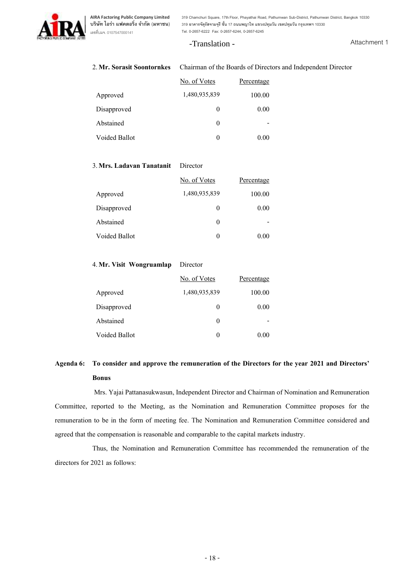**319 Chamchuri Square, 17th Floor, Phayathai Road, Pathumwan Sub-District, Pathumwan District, Bangkok 10330 319 อาคารจัตุรัสจามจุรีชั้น 17 ถนนพญาไท แขวงปทุมวัน เขตปทุมวัน กรุงเทพฯ 10330 Tel. 0-2657-6222 Fax: 0-2657-6244, 0-2657-6245**

# -Translation -

Attachment 1

# 2.**Mr. Sorasit Soontornkes** Chairman of the Boards of Directors and Independent Director

|               | No. of Votes  | Percentage |
|---------------|---------------|------------|
| Approved      | 1,480,935,839 | 100.00     |
| Disapproved   | $\theta$      | 0.00       |
| Abstained     | $\theta$      |            |
| Voided Ballot | $\theta$      | 0.00       |

## 3.**Mrs. Ladavan Tanatanit** Director

|               | No. of Votes  | Percentage |
|---------------|---------------|------------|
| Approved      | 1,480,935,839 | 100.00     |
| Disapproved   | $\theta$      | 0.00       |
| Abstained     | $\theta$      |            |
| Voided Ballot | 0             | 0.00       |

# 4.**Mr. Visit Wongruamlap** Director

|               | No. of Votes  | Percentage |
|---------------|---------------|------------|
| Approved      | 1,480,935,839 | 100.00     |
| Disapproved   | $\theta$      | 0.00       |
| Abstained     | $\theta$      |            |
| Voided Ballot | 0             | 0.00       |

# **Agenda 6: To consider and approve the remuneration of the Directors for the year 2021 and Directors' Bonus**

Mrs. Yajai Pattanasukwasun, Independent Director and Chairman of Nomination and Remuneration Committee, reported to the Meeting, as the Nomination and Remuneration Committee proposes for the remuneration to be in the form of meeting fee. The Nomination and Remuneration Committee considered and agreed that the compensation is reasonable and comparable to the capital markets industry.

Thus, the Nomination and Remuneration Committee has recommended the remuneration of the directors for 2021 as follows: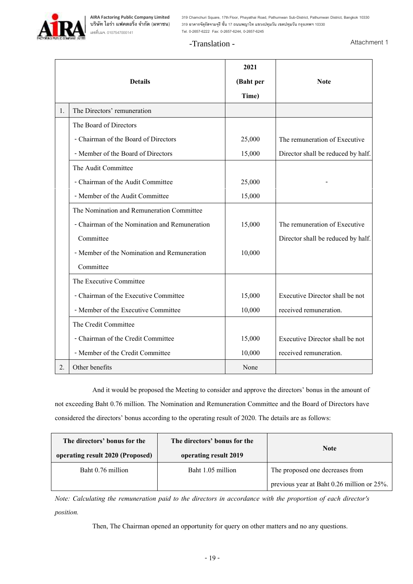# -Translation -

Attachment 1

|    |                                               | 2021      |                                    |
|----|-----------------------------------------------|-----------|------------------------------------|
|    | <b>Details</b>                                | (Baht per | <b>Note</b>                        |
|    |                                               | Time)     |                                    |
| 1. | The Directors' remuneration                   |           |                                    |
|    | The Board of Directors                        |           |                                    |
|    | - Chairman of the Board of Directors          | 25,000    | The remuneration of Executive      |
|    | - Member of the Board of Directors            | 15,000    | Director shall be reduced by half. |
|    | The Audit Committee                           |           |                                    |
|    | - Chairman of the Audit Committee             | 25,000    |                                    |
|    | - Member of the Audit Committee               | 15,000    |                                    |
|    | The Nomination and Remuneration Committee     |           |                                    |
|    | - Chairman of the Nomination and Remuneration | 15,000    | The remuneration of Executive      |
|    | Committee                                     |           | Director shall be reduced by half. |
|    | - Member of the Nomination and Remuneration   | 10,000    |                                    |
|    | Committee                                     |           |                                    |
|    | The Executive Committee                       |           |                                    |
|    | - Chairman of the Executive Committee         | 15,000    | Executive Director shall be not    |
|    | - Member of the Executive Committee           | 10,000    | received remuneration.             |
|    | The Credit Committee                          |           |                                    |
|    | - Chairman of the Credit Committee            | 15,000    | Executive Director shall be not    |
|    | - Member of the Credit Committee              | 10,000    | received remuneration.             |
| 2. | Other benefits                                | None      |                                    |

And it would be proposed the Meeting to consider and approve the directors' bonus in the amount of not exceeding Baht 0.76 million. The Nomination and Remuneration Committee and the Board of Directors have considered the directors' bonus according to the operating result of 2020. The details are as follows:

| The directors' bonus for the<br>operating result 2020 (Proposed) | The directors' bonus for the<br>operating result 2019 | <b>Note</b>                                |  |
|------------------------------------------------------------------|-------------------------------------------------------|--------------------------------------------|--|
| Baht 0.76 million                                                | Baht 1.05 million                                     | The proposed one decreases from            |  |
|                                                                  |                                                       | previous year at Baht 0.26 million or 25%. |  |

*Note: Calculating the remuneration paid to the directors in accordance with the proportion of each director's position.*

Then, The Chairman opened an opportunity for query on other matters and no any questions.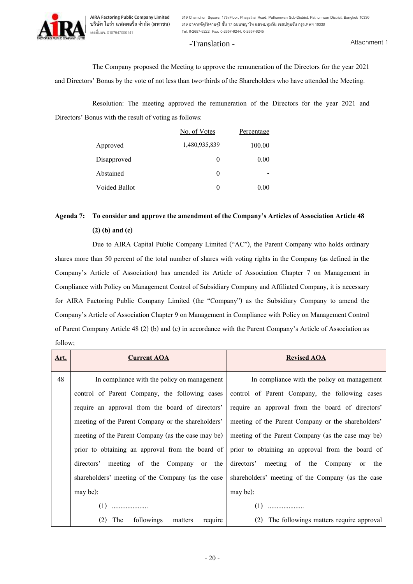**319 Chamchuri Square, 17th Floor, Phayathai Road, Pathumwan Sub-District, Pathumwan District, Bangkok 10330 319 อาคารจัตุรัสจามจุรีชั้น 17 ถนนพญาไท แขวงปทุมวัน เขตปทุมวัน กรุงเทพฯ 10330 Tel. 0-2657-6222 Fax: 0-2657-6244, 0-2657-6245**

# -Translation -

Attachment 1

The Company proposed the Meeting to approve the remuneration of the Directors for the year 2021 and Directors' Bonus by the vote of not less than two-thirds of the Shareholders who have attended the Meeting.

Resolution: The meeting approved the remuneration of the Directors for the year 2021 and Directors' Bonus with the result of voting as follows:

|               | No. of Votes  | Percentage |
|---------------|---------------|------------|
| Approved      | 1,480,935,839 | 100.00     |
| Disapproved   | $\theta$      | 0.00       |
| Abstained     | $\theta$      |            |
| Voided Ballot | $\theta$      | 0.00       |

# **Agenda 7: To consider and approve the amendment of the Company's Articles of Association Article 48 (2) (b) and (c)**

Due to AIRA Capital Public Company Limited ("AC"), the Parent Company who holds ordinary shares more than 50 percent of the total number of shares with voting rights in the Company (as defined in the Company's Article of Association) has amended its Article of Association Chapter 7 on Management in Compliance with Policy on Management Control of Subsidiary Company and Affiliated Company, it is necessary for AIRA Factoring Public Company Limited (the "Company") as the Subsidiary Company to amend the Company's Article of Association Chapter 9 on Management in Compliance with Policy on Management Control of Parent Company Article 48 (2) (b) and (c) in accordance with the Parent Company's Article of Association as follow;

| Art. | <b>Current AOA</b>                                                                                       | <b>Revised AOA</b>                                 |  |
|------|----------------------------------------------------------------------------------------------------------|----------------------------------------------------|--|
| 48   | In compliance with the policy on management                                                              | In compliance with the policy on management        |  |
|      | control of Parent Company, the following cases                                                           | control of Parent Company, the following cases     |  |
|      | require an approval from the board of directors'                                                         | require an approval from the board of directors'   |  |
|      | meeting of the Parent Company or the shareholders'<br>meeting of the Parent Company or the shareholders' |                                                    |  |
|      | meeting of the Parent Company (as the case may be)                                                       | meeting of the Parent Company (as the case may be) |  |
|      | prior to obtaining an approval from the board of                                                         | prior to obtaining an approval from the board of   |  |
|      | meeting of the Company or the<br>directors'                                                              | directors' meeting of the Company or the           |  |
|      | shareholders' meeting of the Company (as the case                                                        | shareholders' meeting of the Company (as the case  |  |
|      | may be):                                                                                                 | may be):                                           |  |
|      | (1)                                                                                                      | (1)                                                |  |
|      | (2)<br>followings<br>The<br>require<br>matters                                                           | (2)<br>The followings matters require approval     |  |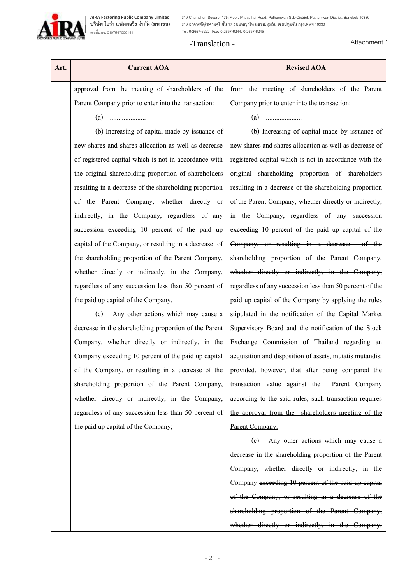**319 Chamchuri Square, 17th Floor, Phayathai Road, Pathumwan Sub-District, Pathumwan District, Bangkok 10330 319 อาคารจัตุรัสจามจุรีชั้น 17 ถนนพญาไท แขวงปทุมวัน เขตปทุมวัน กรุงเทพฯ 10330 Tel. 0-2657-6222 Fax: 0-2657-6244, 0-2657-6245**

# -Translation -

Attachment 1

| Art. | <b>Current AOA</b>                                     | <b>Revised AOA</b>                                       |
|------|--------------------------------------------------------|----------------------------------------------------------|
|      | approval from the meeting of shareholders of the       | from the meeting of shareholders of the Parent           |
|      | Parent Company prior to enter into the transaction:    | Company prior to enter into the transaction:             |
|      |                                                        |                                                          |
|      | (b) Increasing of capital made by issuance of          | (b) Increasing of capital made by issuance of            |
|      | new shares and shares allocation as well as decrease   | new shares and shares allocation as well as decrease of  |
|      | of registered capital which is not in accordance with  | registered capital which is not in accordance with the   |
|      | the original shareholding proportion of shareholders   | original shareholding proportion of shareholders         |
|      | resulting in a decrease of the shareholding proportion | resulting in a decrease of the shareholding proportion   |
|      | of the Parent Company, whether directly or             | of the Parent Company, whether directly or indirectly,   |
|      | indirectly, in the Company, regardless of any          | in the Company, regardless of any succession             |
|      | succession exceeding 10 percent of the paid up         | exceeding 10 percent of the paid up capital of the       |
|      | capital of the Company, or resulting in a decrease of  | Company, or resulting in a decrease of the               |
|      | the shareholding proportion of the Parent Company,     | shareholding proportion of the Parent Company,           |
|      | whether directly or indirectly, in the Company,        | whether directly or indirectly, in the Company,          |
|      | regardless of any succession less than 50 percent of   | regardless of any succession less than 50 percent of the |
|      | the paid up capital of the Company.                    | paid up capital of the Company by applying the rules     |
|      | Any other actions which may cause a<br>(c)             | stipulated in the notification of the Capital Market     |
|      | decrease in the shareholding proportion of the Parent  | Supervisory Board and the notification of the Stock      |
|      | Company, whether directly or indirectly, in the        | Exchange Commission of Thailand regarding an             |
|      | Company exceeding 10 percent of the paid up capital    | acquisition and disposition of assets, mutatis mutandis; |
|      | of the Company, or resulting in a decrease of the      | provided, however, that after being compared the         |
|      | shareholding proportion of the Parent Company,         | transaction value against the Parent Company             |
|      | whether directly or indirectly, in the Company,        | according to the said rules, such transaction requires   |
|      | regardless of any succession less than 50 percent of   | the approval from the shareholders meeting of the        |
|      | the paid up capital of the Company;                    | Parent Company.                                          |
|      |                                                        | (c)<br>Any other actions which may cause a               |
|      |                                                        | decrease in the shareholding proportion of the Parent    |
|      |                                                        | Company, whether directly or indirectly, in the          |
|      |                                                        | Company exceeding 10 percent of the paid up capital      |

of the Company, or resulting in a decrease of the

shareholding proportion of the Parent Company,

whether directly or indirectly, in the Company,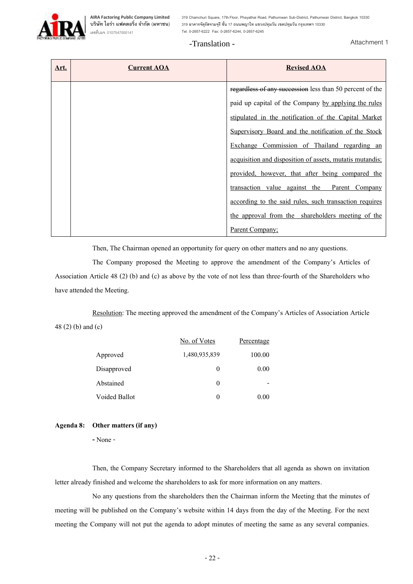**319 Chamchuri Square, 17th Floor, Phayathai Road, Pathumwan Sub-District, Pathumwan District, Bangkok 10330 319 อาคารจัตุรัสจามจุรีชั้น 17 ถนนพญาไท แขวงปทุมวัน เขตปทุมวัน กรุงเทพฯ 10330 Tel. 0-2657-6222 Fax: 0-2657-6244, 0-2657-6245**

# -Translation -

Attachment 1

| Art. | <b>Current AOA</b> | <b>Revised AOA</b>                                       |
|------|--------------------|----------------------------------------------------------|
|      |                    | regardless of any succession less than 50 percent of the |
|      |                    | paid up capital of the Company by applying the rules     |
|      |                    | stipulated in the notification of the Capital Market     |
|      |                    | Supervisory Board and the notification of the Stock      |
|      |                    | Exchange Commission of Thailand regarding an             |
|      |                    | acquisition and disposition of assets, mutatis mutandis; |
|      |                    | provided, however, that after being compared the         |
|      |                    | transaction value against the Parent Company             |
|      |                    | according to the said rules, such transaction requires   |
|      |                    | the approval from the shareholders meeting of the        |
|      |                    | Parent Company;                                          |

Then, The Chairman opened an opportunity for query on other matters and no any questions.

The Company proposed the Meeting to approve the amendment of the Company's Articles of Association Article 48 (2) (b) and (c) as above by the vote of not less than three-fourth of the Shareholders who have attended the Meeting.

Resolution: The meeting approved the amendment of the Company's Articles of Association Article 48 (2) (b) and (c)

|               | No. of Votes  | Percentage |
|---------------|---------------|------------|
| Approved      | 1,480,935,839 | 100.00     |
| Disapproved   | $_{0}$        | 0.00       |
| Abstained     | $\theta$      |            |
| Voided Ballot | $\theta$      | 0.00       |

### **Agenda 8: Other matters (if any)**

**-** None -

Then, the Company Secretary informed to the Shareholders that all agenda as shown on invitation letter already finished and welcome the shareholders to ask for more information on any matters.

No any questions from the shareholders then the Chairman inform the Meeting that the minutes of meeting will be published on the Company's website within 14 days from the day of the Meeting. For the next meeting the Company will not put the agenda to adopt minutes of meeting the same as any several companies.